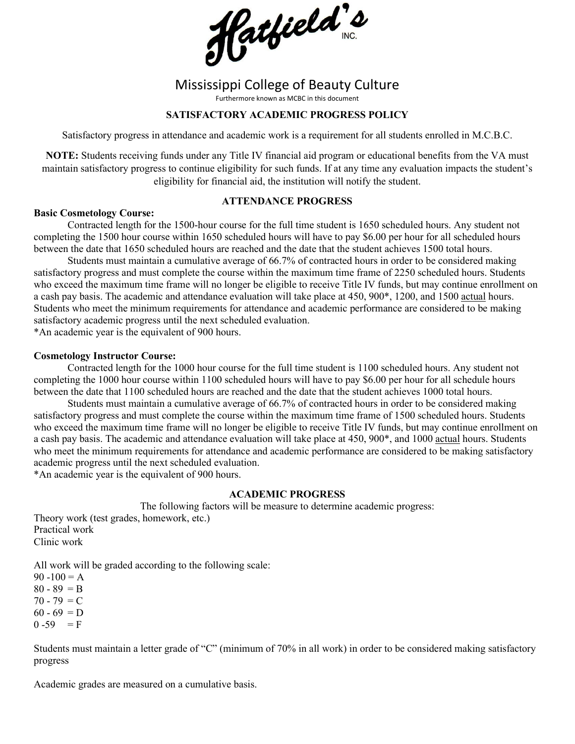

# Mississippi College of Beauty Culture

Furthermore known as MCBC in this document

# **SATISFACTORY ACADEMIC PROGRESS POLICY**

Satisfactory progress in attendance and academic work is a requirement for all students enrolled in M.C.B.C.

**NOTE:** Students receiving funds under any Title IV financial aid program or educational benefits from the VA must maintain satisfactory progress to continue eligibility for such funds. If at any time any evaluation impacts the student's eligibility for financial aid, the institution will notify the student.

# **ATTENDANCE PROGRESS**

#### **Basic Cosmetology Course:**

Contracted length for the 1500-hour course for the full time student is 1650 scheduled hours. Any student not completing the 1500 hour course within 1650 scheduled hours will have to pay \$6.00 per hour for all scheduled hours between the date that 1650 scheduled hours are reached and the date that the student achieves 1500 total hours.

Students must maintain a cumulative average of 66.7% of contracted hours in order to be considered making satisfactory progress and must complete the course within the maximum time frame of 2250 scheduled hours. Students who exceed the maximum time frame will no longer be eligible to receive Title IV funds, but may continue enrollment on a cash pay basis. The academic and attendance evaluation will take place at 450, 900\*, 1200, and 1500 actual hours. Students who meet the minimum requirements for attendance and academic performance are considered to be making satisfactory academic progress until the next scheduled evaluation.

\*An academic year is the equivalent of 900 hours.

## **Cosmetology Instructor Course:**

Contracted length for the 1000 hour course for the full time student is 1100 scheduled hours. Any student not completing the 1000 hour course within 1100 scheduled hours will have to pay \$6.00 per hour for all schedule hours between the date that 1100 scheduled hours are reached and the date that the student achieves 1000 total hours.

Students must maintain a cumulative average of 66.7% of contracted hours in order to be considered making satisfactory progress and must complete the course within the maximum time frame of 1500 scheduled hours. Students who exceed the maximum time frame will no longer be eligible to receive Title IV funds, but may continue enrollment on a cash pay basis. The academic and attendance evaluation will take place at 450, 900\*, and 1000 actual hours. Students who meet the minimum requirements for attendance and academic performance are considered to be making satisfactory academic progress until the next scheduled evaluation.

\*An academic year is the equivalent of 900 hours.

## **ACADEMIC PROGRESS**

The following factors will be measure to determine academic progress:

Theory work (test grades, homework, etc.) Practical work Clinic work

All work will be graded according to the following scale:

 $90 - 100 = A$  $80 - 89 = B$  $70 - 79 = C$  $60 - 69 = D$  $0 - 59 = F$ 

Students must maintain a letter grade of "C" (minimum of 70% in all work) in order to be considered making satisfactory progress

Academic grades are measured on a cumulative basis.